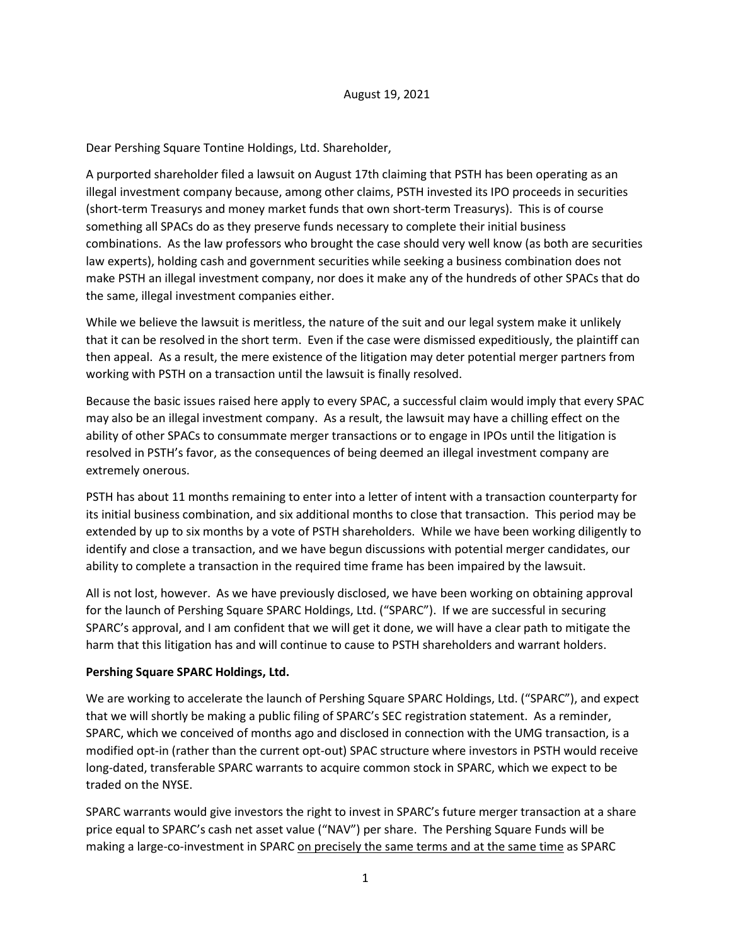#### August 19, 2021

Dear Pershing Square Tontine Holdings, Ltd. Shareholder,

A purported shareholder filed a lawsuit on August 17th claiming that PSTH has been operating as an illegal investment company because, among other claims, PSTH invested its IPO proceeds in securities (short-term Treasurys and money market funds that own short-term Treasurys). This is of course something all SPACs do as they preserve funds necessary to complete their initial business combinations. As the law professors who brought the case should very well know (as both are securities law experts), holding cash and government securities while seeking a business combination does not make PSTH an illegal investment company, nor does it make any of the hundreds of other SPACs that do the same, illegal investment companies either.

While we believe the lawsuit is meritless, the nature of the suit and our legal system make it unlikely that it can be resolved in the short term. Even if the case were dismissed expeditiously, the plaintiff can then appeal. As a result, the mere existence of the litigation may deter potential merger partners from working with PSTH on a transaction until the lawsuit is finally resolved.

Because the basic issues raised here apply to every SPAC, a successful claim would imply that every SPAC may also be an illegal investment company. As a result, the lawsuit may have a chilling effect on the ability of other SPACs to consummate merger transactions or to engage in IPOs until the litigation is resolved in PSTH's favor, as the consequences of being deemed an illegal investment company are extremely onerous.

PSTH has about 11 months remaining to enter into a letter of intent with a transaction counterparty for its initial business combination, and six additional months to close that transaction. This period may be extended by up to six months by a vote of PSTH shareholders. While we have been working diligently to identify and close a transaction, and we have begun discussions with potential merger candidates, our ability to complete a transaction in the required time frame has been impaired by the lawsuit.

All is not lost, however. As we have previously disclosed, we have been working on obtaining approval for the launch of Pershing Square SPARC Holdings, Ltd. ("SPARC"). If we are successful in securing SPARC's approval, and I am confident that we will get it done, we will have a clear path to mitigate the harm that this litigation has and will continue to cause to PSTH shareholders and warrant holders.

### Pershing Square SPARC Holdings, Ltd.

We are working to accelerate the launch of Pershing Square SPARC Holdings, Ltd. ("SPARC"), and expect that we will shortly be making a public filing of SPARC's SEC registration statement. As a reminder, SPARC, which we conceived of months ago and disclosed in connection with the UMG transaction, is a modified opt-in (rather than the current opt-out) SPAC structure where investors in PSTH would receive long-dated, transferable SPARC warrants to acquire common stock in SPARC, which we expect to be traded on the NYSE.

SPARC warrants would give investors the right to invest in SPARC's future merger transaction at a share price equal to SPARC's cash net asset value ("NAV") per share. The Pershing Square Funds will be making a large-co-investment in SPARC on precisely the same terms and at the same time as SPARC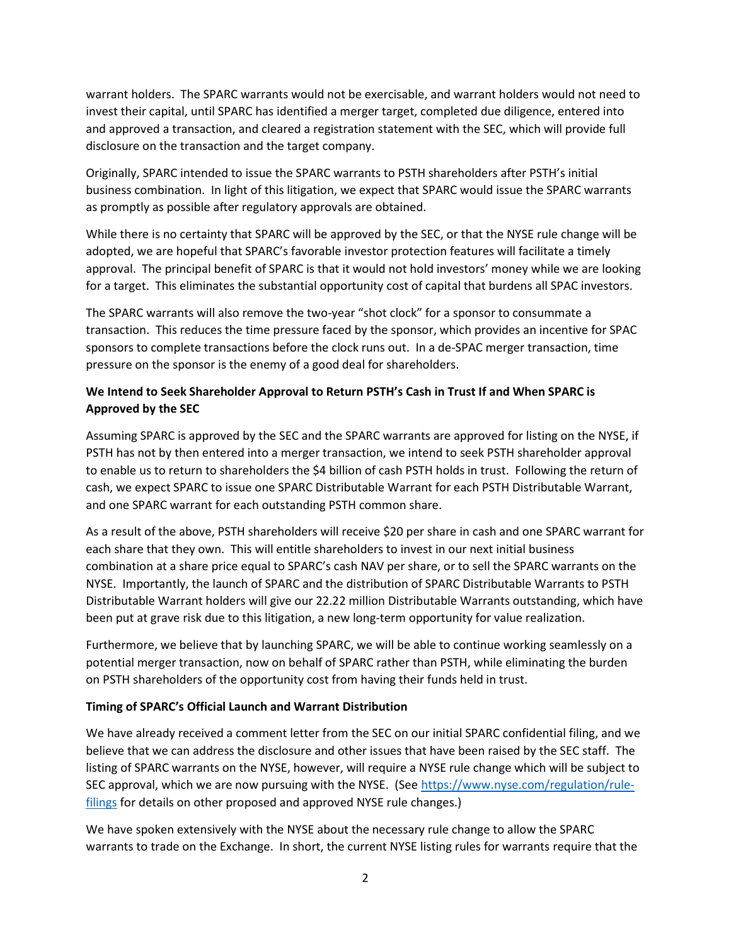warrant holders. The SPARC warrants would not be exercisable, and warrant holders would not need to invest their capital, until SPARC has identified a merger target, completed due diligence, entered into and approved a transaction, and cleared a registration statement with the SEC, which will provide full disclosure on the transaction and the target company.

Originally, SPARC intended to issue the SPARC warrants to PSTH shareholders after PSTH's initial business combination. In light of this litigation, we expect that SPARC would issue the SPARC warrants as promptly as possible after regulatory approvals are obtained.

While there is no certainty that SPARC will be approved by the SEC, or that the NYSE rule change will be adopted, we are hopeful that SPARC's favorable investor protection features will facilitate a timely approval. The principal benefit of SPARC is that it would not hold investors' money while we are looking for a target. This eliminates the substantial opportunity cost of capital that burdens all SPAC investors.

The SPARC warrants will also remove the two-year "shot clock" for a sponsor to consummate a transaction. This reduces the time pressure faced by the sponsor, which provides an incentive for SPAC sponsors to complete transactions before the clock runs out. In a de-SPAC merger transaction, time pressure on the sponsor is the enemy of a good deal for shareholders.

## We Intend to Seek Shareholder Approval to Return PSTH's Cash in Trust If and When SPARC is Approved by the SEC

Assuming SPARC is approved by the SEC and the SPARC warrants are approved for listing on the NYSE, if PSTH has not by then entered into a merger transaction, we intend to seek PSTH shareholder approval to enable us to return to shareholders the \$4 billion of cash PSTH holds in trust. Following the return of cash, we expect SPARC to issue one SPARC Distributable Warrant for each PSTH Distributable Warrant, and one SPARC warrant for each outstanding PSTH common share.

As a result of the above, PSTH shareholders will receive \$20 per share in cash and one SPARC warrant for each share that they own. This will entitle shareholders to invest in our next initial business combination at a share price equal to SPARC's cash NAV per share, or to sell the SPARC warrants on the NYSE. Importantly, the launch of SPARC and the distribution of SPARC Distributable Warrants to PSTH Distributable Warrant holders will give our 22.22 million Distributable Warrants outstanding, which have been put at grave risk due to this litigation, a new long-term opportunity for value realization.

Furthermore, we believe that by launching SPARC, we will be able to continue working seamlessly on a potential merger transaction, now on behalf of SPARC rather than PSTH, while eliminating the burden on PSTH shareholders of the opportunity cost from having their funds held in trust.

## Timing of SPARC's Official Launch and Warrant Distribution

We have already received a comment letter from the SEC on our initial SPARC confidential filing, and we believe that we can address the disclosure and other issues that have been raised by the SEC staff. The listing of SPARC warrants on the NYSE, however, will require a NYSE rule change which will be subject to SEC approval, which we are now pursuing with the NYSE. (See https://www.nyse.com/regulation/rulefilings for details on other proposed and approved NYSE rule changes.)

We have spoken extensively with the NYSE about the necessary rule change to allow the SPARC warrants to trade on the Exchange. In short, the current NYSE listing rules for warrants require that the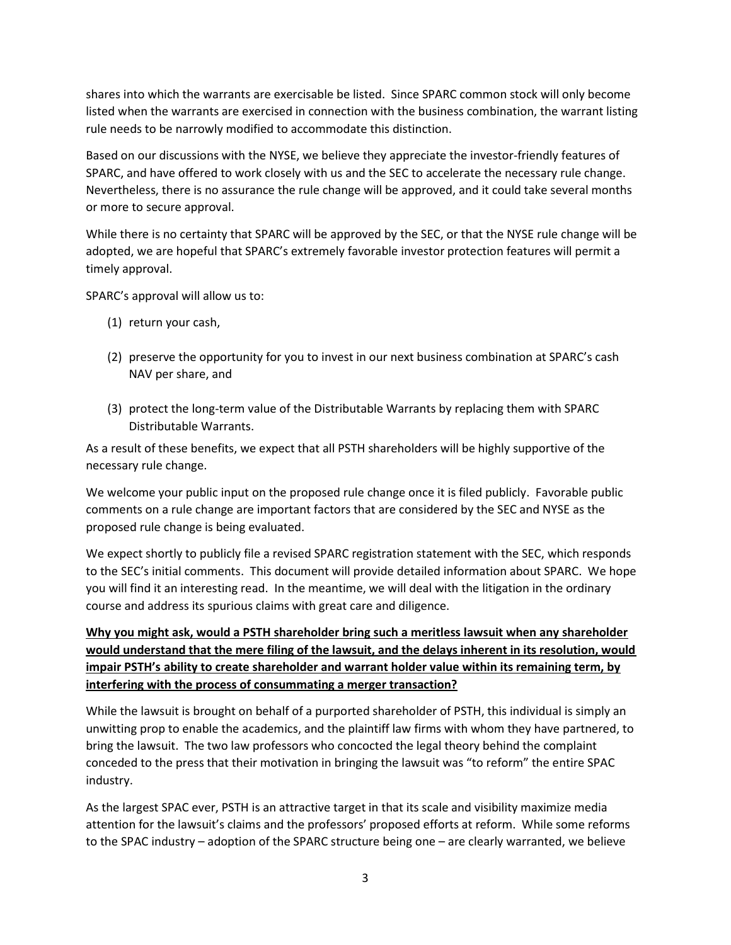shares into which the warrants are exercisable be listed. Since SPARC common stock will only become listed when the warrants are exercised in connection with the business combination, the warrant listing rule needs to be narrowly modified to accommodate this distinction.

Based on our discussions with the NYSE, we believe they appreciate the investor-friendly features of SPARC, and have offered to work closely with us and the SEC to accelerate the necessary rule change. Nevertheless, there is no assurance the rule change will be approved, and it could take several months or more to secure approval.

While there is no certainty that SPARC will be approved by the SEC, or that the NYSE rule change will be adopted, we are hopeful that SPARC's extremely favorable investor protection features will permit a timely approval.

SPARC's approval will allow us to:

- (1) return your cash,
- (2) preserve the opportunity for you to invest in our next business combination at SPARC's cash NAV per share, and
- (3) protect the long-term value of the Distributable Warrants by replacing them with SPARC Distributable Warrants.

As a result of these benefits, we expect that all PSTH shareholders will be highly supportive of the necessary rule change.

We welcome your public input on the proposed rule change once it is filed publicly. Favorable public comments on a rule change are important factors that are considered by the SEC and NYSE as the proposed rule change is being evaluated.

We expect shortly to publicly file a revised SPARC registration statement with the SEC, which responds to the SEC's initial comments. This document will provide detailed information about SPARC. We hope you will find it an interesting read. In the meantime, we will deal with the litigation in the ordinary course and address its spurious claims with great care and diligence.

# Why you might ask, would a PSTH shareholder bring such a meritless lawsuit when any shareholder would understand that the mere filing of the lawsuit, and the delays inherent in its resolution, would impair PSTH's ability to create shareholder and warrant holder value within its remaining term, by interfering with the process of consummating a merger transaction?

While the lawsuit is brought on behalf of a purported shareholder of PSTH, this individual is simply an unwitting prop to enable the academics, and the plaintiff law firms with whom they have partnered, to bring the lawsuit. The two law professors who concocted the legal theory behind the complaint conceded to the press that their motivation in bringing the lawsuit was "to reform" the entire SPAC industry.

As the largest SPAC ever, PSTH is an attractive target in that its scale and visibility maximize media attention for the lawsuit's claims and the professors' proposed efforts at reform. While some reforms to the SPAC industry – adoption of the SPARC structure being one – are clearly warranted, we believe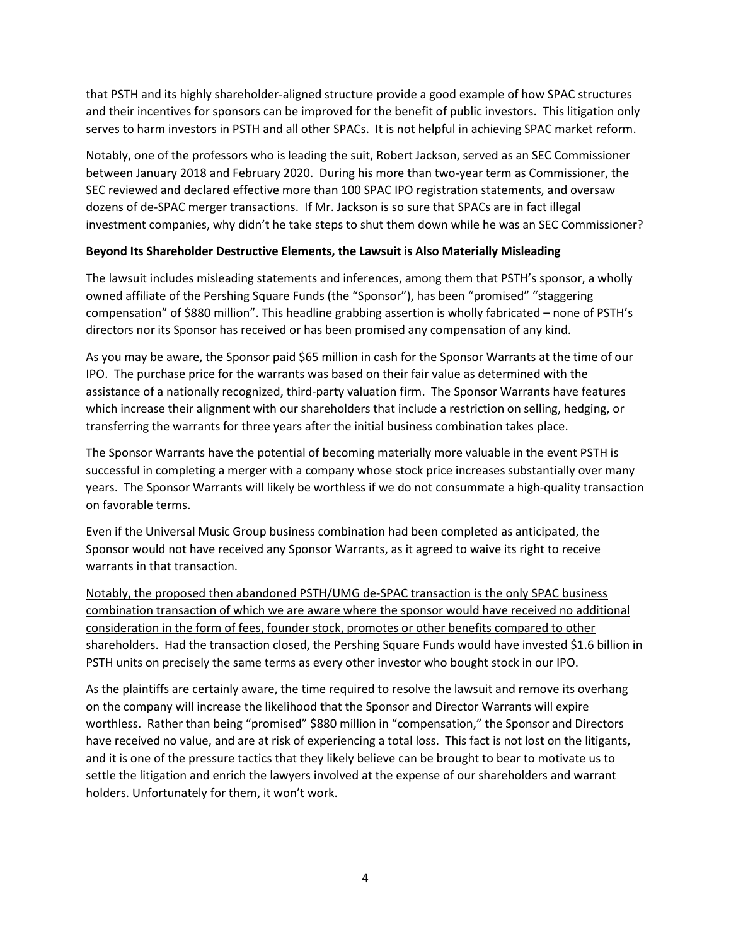that PSTH and its highly shareholder-aligned structure provide a good example of how SPAC structures and their incentives for sponsors can be improved for the benefit of public investors. This litigation only serves to harm investors in PSTH and all other SPACs. It is not helpful in achieving SPAC market reform.

Notably, one of the professors who is leading the suit, Robert Jackson, served as an SEC Commissioner between January 2018 and February 2020. During his more than two-year term as Commissioner, the SEC reviewed and declared effective more than 100 SPAC IPO registration statements, and oversaw dozens of de-SPAC merger transactions. If Mr. Jackson is so sure that SPACs are in fact illegal investment companies, why didn't he take steps to shut them down while he was an SEC Commissioner?

### Beyond Its Shareholder Destructive Elements, the Lawsuit is Also Materially Misleading

The lawsuit includes misleading statements and inferences, among them that PSTH's sponsor, a wholly owned affiliate of the Pershing Square Funds (the "Sponsor"), has been "promised" "staggering compensation" of \$880 million". This headline grabbing assertion is wholly fabricated – none of PSTH's directors nor its Sponsor has received or has been promised any compensation of any kind.

As you may be aware, the Sponsor paid \$65 million in cash for the Sponsor Warrants at the time of our IPO. The purchase price for the warrants was based on their fair value as determined with the assistance of a nationally recognized, third-party valuation firm. The Sponsor Warrants have features which increase their alignment with our shareholders that include a restriction on selling, hedging, or transferring the warrants for three years after the initial business combination takes place.

The Sponsor Warrants have the potential of becoming materially more valuable in the event PSTH is successful in completing a merger with a company whose stock price increases substantially over many years. The Sponsor Warrants will likely be worthless if we do not consummate a high-quality transaction on favorable terms.

Even if the Universal Music Group business combination had been completed as anticipated, the Sponsor would not have received any Sponsor Warrants, as it agreed to waive its right to receive warrants in that transaction.

Notably, the proposed then abandoned PSTH/UMG de-SPAC transaction is the only SPAC business combination transaction of which we are aware where the sponsor would have received no additional consideration in the form of fees, founder stock, promotes or other benefits compared to other shareholders. Had the transaction closed, the Pershing Square Funds would have invested \$1.6 billion in PSTH units on precisely the same terms as every other investor who bought stock in our IPO.

As the plaintiffs are certainly aware, the time required to resolve the lawsuit and remove its overhang on the company will increase the likelihood that the Sponsor and Director Warrants will expire worthless. Rather than being "promised" \$880 million in "compensation," the Sponsor and Directors have received no value, and are at risk of experiencing a total loss. This fact is not lost on the litigants, and it is one of the pressure tactics that they likely believe can be brought to bear to motivate us to settle the litigation and enrich the lawyers involved at the expense of our shareholders and warrant holders. Unfortunately for them, it won't work.